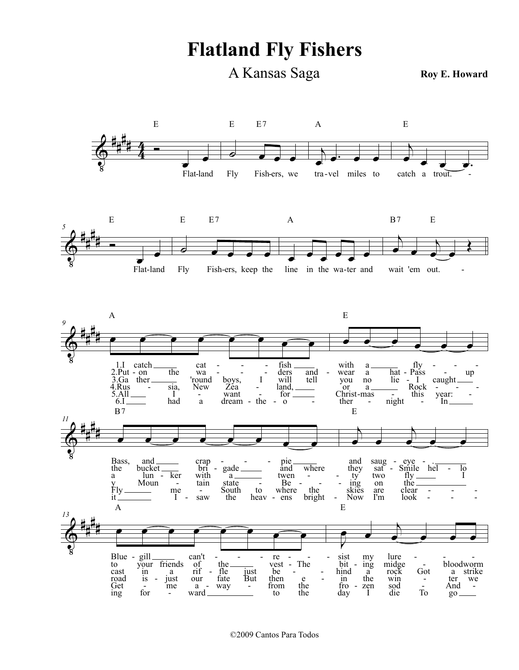Flatland Fly Fishers

A Kansas Saga

Roy E. Howard



©2009 Cantos Para Todos